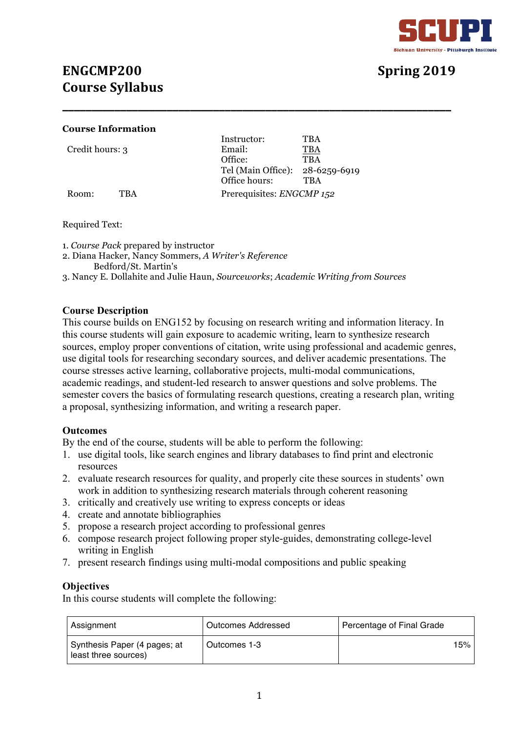

# **ENGCMP200 Spring 2019 Course Syllabus**

### **Course Information**

|                 |     | Instructor:                     | TBA                       |  |
|-----------------|-----|---------------------------------|---------------------------|--|
| Credit hours: 3 |     | Email:                          | TBA                       |  |
|                 |     | Office:                         | <b>TBA</b>                |  |
|                 |     | Tel (Main Office): 28-6259-6919 |                           |  |
|                 |     | Office hours:                   | <b>TBA</b>                |  |
| Room:           | TRA |                                 | Prerequisites: ENGCMP 152 |  |

Required Text:

1. *Course Pack* prepared by instructor

- 2. Diana Hacker, Nancy Sommers, *A Writer's Reference* Bedford/St. Martin's
- 3. Nancy E. Dollahite and Julie Haun, *Sourceworks*; *Academic Writing from Sources*

**\_\_\_\_\_\_\_\_\_\_\_\_\_\_\_\_\_\_\_\_\_\_\_\_\_\_\_\_\_\_\_\_\_\_\_\_\_\_\_\_\_\_\_\_\_\_\_\_\_\_\_\_\_\_\_\_\_\_\_\_\_\_\_\_\_\_\_**

# **Course Description**

This course builds on ENG152 by focusing on research writing and information literacy. In this course students will gain exposure to academic writing, learn to synthesize research sources, employ proper conventions of citation, write using professional and academic genres, use digital tools for researching secondary sources, and deliver academic presentations. The course stresses active learning, collaborative projects, multi-modal communications, academic readings, and student-led research to answer questions and solve problems. The semester covers the basics of formulating research questions, creating a research plan, writing a proposal, synthesizing information, and writing a research paper.

# **Outcomes**

By the end of the course, students will be able to perform the following:

- 1. use digital tools, like search engines and library databases to find print and electronic resources
- 2. evaluate research resources for quality, and properly cite these sources in students' own work in addition to synthesizing research materials through coherent reasoning
- 3. critically and creatively use writing to express concepts or ideas
- 4. create and annotate bibliographies
- 5. propose a research project according to professional genres
- 6. compose research project following proper style-guides, demonstrating college-level writing in English
- 7. present research findings using multi-modal compositions and public speaking

# **Objectives**

In this course students will complete the following:

| Assignment                                           | Outcomes Addressed | Percentage of Final Grade |
|------------------------------------------------------|--------------------|---------------------------|
| Synthesis Paper (4 pages; at<br>least three sources) | Outcomes 1-3       | 15%                       |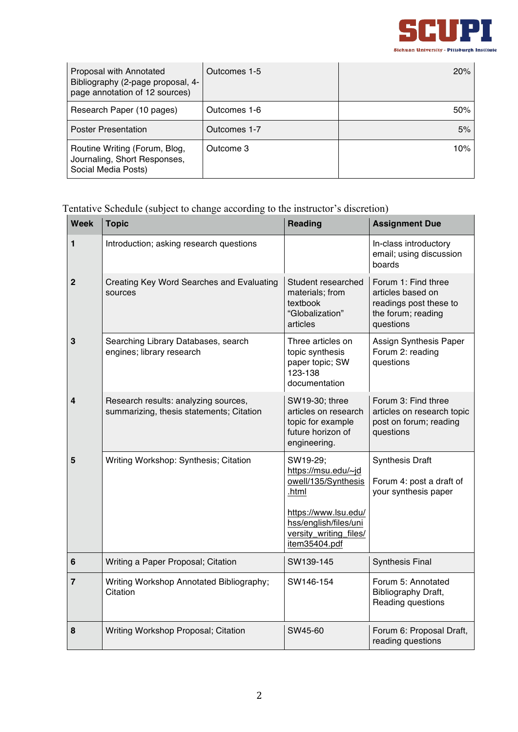

| Proposal with Annotated<br>Bibliography (2-page proposal, 4-<br>page annotation of 12 sources) | Outcomes 1-5 | 20%    |
|------------------------------------------------------------------------------------------------|--------------|--------|
| Research Paper (10 pages)                                                                      | Outcomes 1-6 | 50%    |
| <b>Poster Presentation</b>                                                                     | Outcomes 1-7 | 5%     |
| Routine Writing (Forum, Blog,<br>Journaling, Short Responses,<br>Social Media Posts)           | Outcome 3    | $10\%$ |

Tentative Schedule (subject to change according to the instructor's discretion)

| <b>Week</b>    | <b>Topic</b>                                                                     | <b>Reading</b>                                                                                                                                              | <b>Assignment Due</b>                                                                                 |
|----------------|----------------------------------------------------------------------------------|-------------------------------------------------------------------------------------------------------------------------------------------------------------|-------------------------------------------------------------------------------------------------------|
| 1              | Introduction; asking research questions                                          |                                                                                                                                                             | In-class introductory<br>email; using discussion<br>boards                                            |
| $\overline{2}$ | Creating Key Word Searches and Evaluating<br>sources                             | Student researched<br>materials: from<br>textbook<br>"Globalization"<br>articles                                                                            | Forum 1: Find three<br>articles based on<br>readings post these to<br>the forum; reading<br>questions |
| 3              | Searching Library Databases, search<br>engines; library research                 | Three articles on<br>topic synthesis<br>paper topic; SW<br>123-138<br>documentation                                                                         | Assign Synthesis Paper<br>Forum 2: reading<br>questions                                               |
| 4              | Research results: analyzing sources,<br>summarizing, thesis statements; Citation | SW19-30; three<br>articles on research<br>topic for example<br>future horizon of<br>engineering.                                                            | Forum 3: Find three<br>articles on research topic<br>post on forum; reading<br>questions              |
| 5              | Writing Workshop: Synthesis; Citation                                            | SW19-29;<br>https://msu.edu/~jd<br>owell/135/Synthesis<br>.html<br>https://www.lsu.edu/<br>hss/english/files/uni<br>versity_writing_files/<br>item35404.pdf | <b>Synthesis Draft</b><br>Forum 4: post a draft of<br>your synthesis paper                            |
| 6              | Writing a Paper Proposal; Citation                                               | SW139-145                                                                                                                                                   | <b>Synthesis Final</b>                                                                                |
| $\overline{7}$ | Writing Workshop Annotated Bibliography;<br>Citation                             | SW146-154                                                                                                                                                   | Forum 5: Annotated<br>Bibliography Draft,<br>Reading questions                                        |
| 8              | Writing Workshop Proposal; Citation                                              | SW45-60                                                                                                                                                     | Forum 6: Proposal Draft,<br>reading questions                                                         |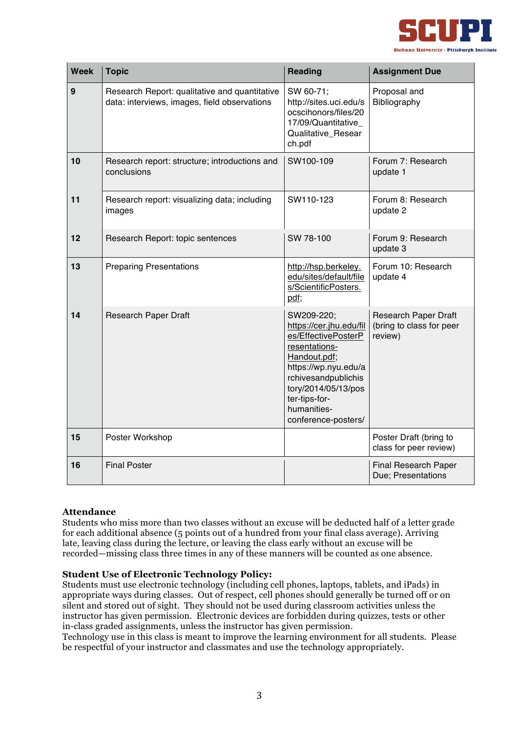

| <b>Week</b> | <b>Topic</b>                                                                                  | <b>Reading</b>                                                                                                                                                                                                             | <b>Assignment Due</b>                                              |
|-------------|-----------------------------------------------------------------------------------------------|----------------------------------------------------------------------------------------------------------------------------------------------------------------------------------------------------------------------------|--------------------------------------------------------------------|
| 9           | Research Report: qualitative and quantitative<br>data: interviews, images, field observations | SW 60-71;<br>http://sites.uci.edu/s<br>ocscihonors/files/20<br>17/09/Quantitative<br>Qualitative_Resear<br>ch.pdf                                                                                                          | Proposal and<br>Bibliography                                       |
| 10          | Research report: structure; introductions and<br>conclusions                                  | SW100-109                                                                                                                                                                                                                  | Forum 7: Research<br>update 1                                      |
| 11          | Research report: visualizing data; including<br>images                                        | SW110-123                                                                                                                                                                                                                  | Forum 8: Research<br>update 2                                      |
| 12          | Research Report: topic sentences                                                              | SW 78-100                                                                                                                                                                                                                  | Forum 9: Research<br>update 3                                      |
| 13          | <b>Preparing Presentations</b>                                                                | http://hsp.berkeley.<br>edu/sites/default/file<br>s/ScientificPosters.<br>pdf;                                                                                                                                             | Forum 10: Research<br>update 4                                     |
| 14          | <b>Research Paper Draft</b>                                                                   | SW209-220;<br>https://cer.jhu.edu/fil<br>es/EffectivePosterP<br>resentations-<br>Handout.pdf;<br>https://wp.nyu.edu/a<br>rchivesandpublichis<br>tory/2014/05/13/pos<br>ter-tips-for-<br>humanities-<br>conference-posters/ | <b>Research Paper Draft</b><br>(bring to class for peer<br>review) |
| 15          | Poster Workshop                                                                               |                                                                                                                                                                                                                            | Poster Draft (bring to<br>class for peer review)                   |
| 16          | <b>Final Poster</b>                                                                           |                                                                                                                                                                                                                            | Final Research Paper<br>Due; Presentations                         |

#### **Attendance**

Students who miss more than two classes without an excuse will be deducted half of a letter grade for each additional absence (5 points out of a hundred from your final class average). Arriving late, leaving class during the lecture, or leaving the class early without an excuse will be recorded—missing class three times in any of these manners will be counted as one absence.

#### **Student Use of Electronic Technology Policy:**

Students must use electronic technology (including cell phones, laptops, tablets, and iPads) in appropriate ways during classes. Out of respect, cell phones should generally be turned off or on silent and stored out of sight. They should not be used during classroom activities unless the instructor has given permission. Electronic devices are forbidden during quizzes, tests or other in-class graded assignments, unless the instructor has given permission.

Technology use in this class is meant to improve the learning environment for all students. Please be respectful of your instructor and classmates and use the technology appropriately.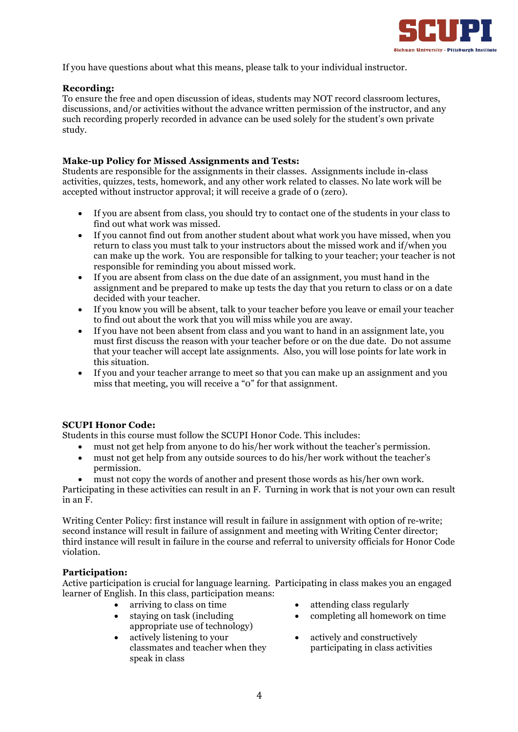

If you have questions about what this means, please talk to your individual instructor.

#### **Recording:**

To ensure the free and open discussion of ideas, students may NOT record classroom lectures, discussions, and/or activities without the advance written permission of the instructor, and any such recording properly recorded in advance can be used solely for the student's own private study.

#### **Make-up Policy for Missed Assignments and Tests:**

Students are responsible for the assignments in their classes. Assignments include in-class activities, quizzes, tests, homework, and any other work related to classes. No late work will be accepted without instructor approval; it will receive a grade of 0 (zero).

- If you are absent from class, you should try to contact one of the students in your class to find out what work was missed.
- If you cannot find out from another student about what work you have missed, when you return to class you must talk to your instructors about the missed work and if/when you can make up the work. You are responsible for talking to your teacher; your teacher is not responsible for reminding you about missed work.
- If you are absent from class on the due date of an assignment, you must hand in the assignment and be prepared to make up tests the day that you return to class or on a date decided with your teacher.
- If you know you will be absent, talk to your teacher before you leave or email your teacher to find out about the work that you will miss while you are away.
- If you have not been absent from class and you want to hand in an assignment late, you must first discuss the reason with your teacher before or on the due date. Do not assume that your teacher will accept late assignments. Also, you will lose points for late work in this situation.
- If you and your teacher arrange to meet so that you can make up an assignment and you miss that meeting, you will receive a "0" for that assignment.

#### **SCUPI Honor Code:**

Students in this course must follow the SCUPI Honor Code. This includes:

- must not get help from anyone to do his/her work without the teacher's permission.
- must not get help from any outside sources to do his/her work without the teacher's permission.
- must not copy the words of another and present those words as his/her own work.

Participating in these activities can result in an F. Turning in work that is not your own can result in an F.

Writing Center Policy: first instance will result in failure in assignment with option of re-write; second instance will result in failure of assignment and meeting with Writing Center director; third instance will result in failure in the course and referral to university officials for Honor Code violation.

#### **Participation:**

Active participation is crucial for language learning. Participating in class makes you an engaged learner of English. In this class, participation means:

- 
- staying on task (including appropriate use of technology)
- actively listening to your classmates and teacher when they speak in class
- arriving to class on time attending class regularly
	- completing all homework on time
	- actively and constructively participating in class activities